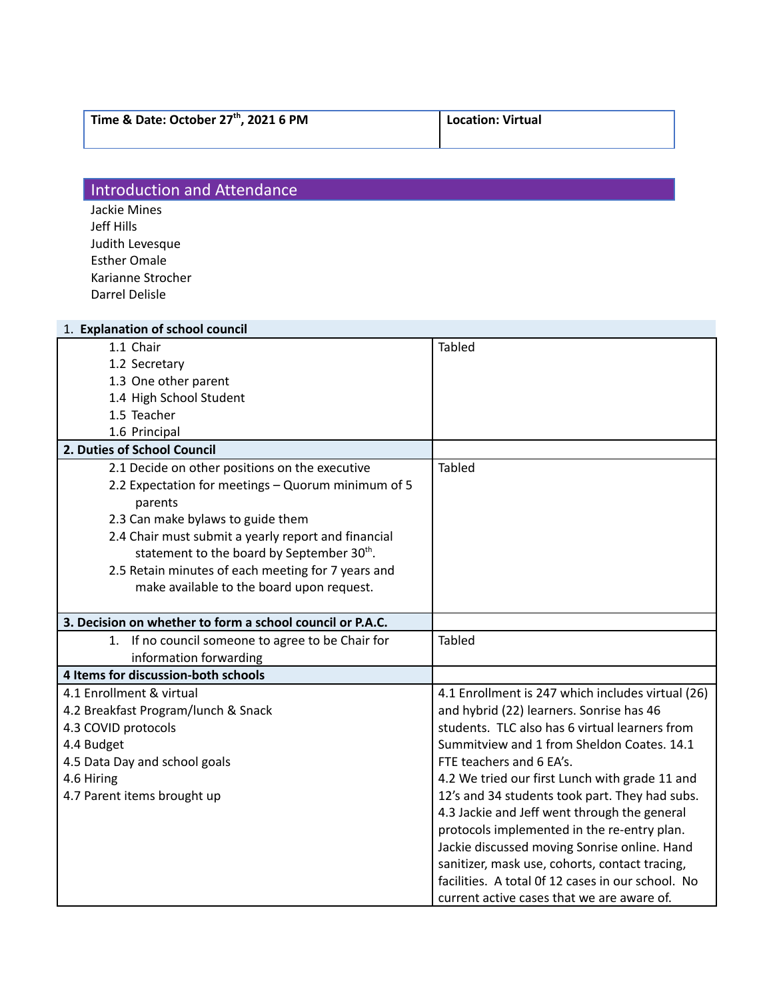|  |  | Time & Date: October 27th, 2021 6 PM |  |  |  |  |  |
|--|--|--------------------------------------|--|--|--|--|--|
|--|--|--------------------------------------|--|--|--|--|--|

**, 2021 6 PM Location: Virtual**

## **Introduction and Attendance**

Jackie Mines Jeff Hills Judith Levesque Esther Omale Karianne Strocher Darrel Delisle

| 1. Explanation of school council                          |                                                   |  |  |  |
|-----------------------------------------------------------|---------------------------------------------------|--|--|--|
| 1.1 Chair                                                 | <b>Tabled</b>                                     |  |  |  |
| 1.2 Secretary                                             |                                                   |  |  |  |
| 1.3 One other parent                                      |                                                   |  |  |  |
| 1.4 High School Student                                   |                                                   |  |  |  |
| 1.5 Teacher                                               |                                                   |  |  |  |
| 1.6 Principal                                             |                                                   |  |  |  |
| 2. Duties of School Council                               |                                                   |  |  |  |
| 2.1 Decide on other positions on the executive            | <b>Tabled</b>                                     |  |  |  |
| 2.2 Expectation for meetings - Quorum minimum of 5        |                                                   |  |  |  |
| parents                                                   |                                                   |  |  |  |
| 2.3 Can make bylaws to guide them                         |                                                   |  |  |  |
| 2.4 Chair must submit a yearly report and financial       |                                                   |  |  |  |
| statement to the board by September 30th.                 |                                                   |  |  |  |
| 2.5 Retain minutes of each meeting for 7 years and        |                                                   |  |  |  |
| make available to the board upon request.                 |                                                   |  |  |  |
|                                                           |                                                   |  |  |  |
| 3. Decision on whether to form a school council or P.A.C. |                                                   |  |  |  |
| If no council someone to agree to be Chair for<br>1.      | Tabled                                            |  |  |  |
| information forwarding                                    |                                                   |  |  |  |
| 4 Items for discussion-both schools                       |                                                   |  |  |  |
| 4.1 Enrollment & virtual                                  | 4.1 Enrollment is 247 which includes virtual (26) |  |  |  |
| 4.2 Breakfast Program/lunch & Snack                       | and hybrid (22) learners. Sonrise has 46          |  |  |  |
| 4.3 COVID protocols                                       | students. TLC also has 6 virtual learners from    |  |  |  |
| 4.4 Budget                                                | Summitview and 1 from Sheldon Coates. 14.1        |  |  |  |
| 4.5 Data Day and school goals                             | FTE teachers and 6 EA's.                          |  |  |  |
| 4.6 Hiring                                                | 4.2 We tried our first Lunch with grade 11 and    |  |  |  |
| 4.7 Parent items brought up                               | 12's and 34 students took part. They had subs.    |  |  |  |
|                                                           | 4.3 Jackie and Jeff went through the general      |  |  |  |
|                                                           | protocols implemented in the re-entry plan.       |  |  |  |
|                                                           | Jackie discussed moving Sonrise online. Hand      |  |  |  |
|                                                           | sanitizer, mask use, cohorts, contact tracing,    |  |  |  |
|                                                           | facilities. A total Of 12 cases in our school. No |  |  |  |
|                                                           | current active cases that we are aware of.        |  |  |  |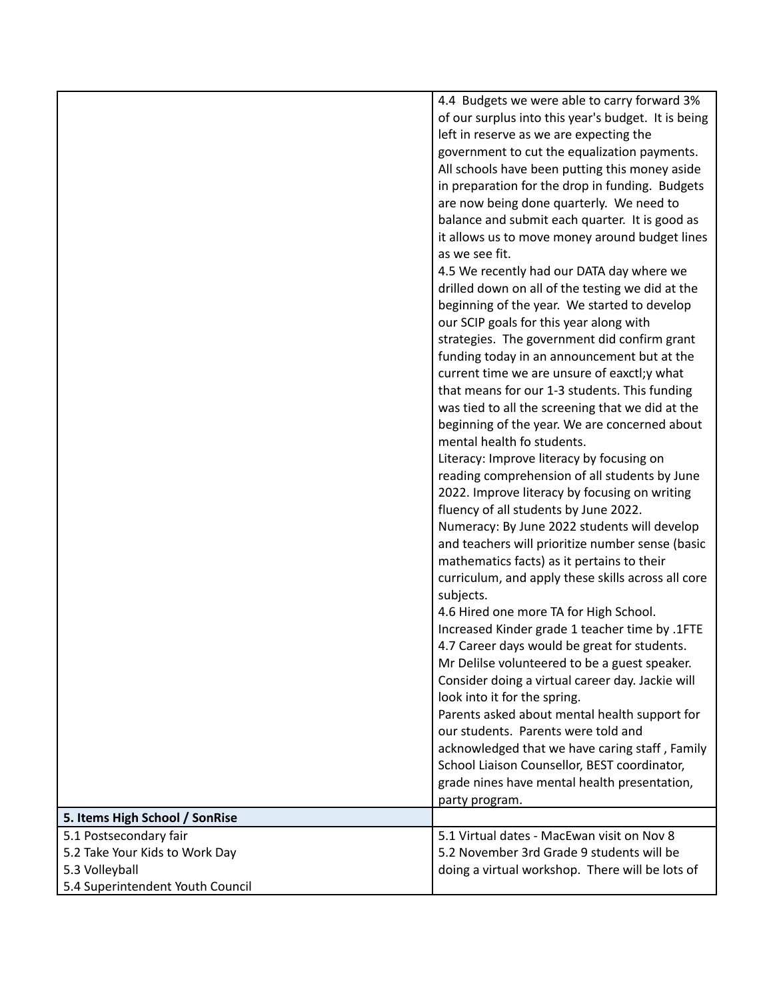|                                  | 4.4 Budgets we were able to carry forward 3%                    |
|----------------------------------|-----------------------------------------------------------------|
|                                  | of our surplus into this year's budget. It is being             |
|                                  | left in reserve as we are expecting the                         |
|                                  | government to cut the equalization payments.                    |
|                                  | All schools have been putting this money aside                  |
|                                  | in preparation for the drop in funding. Budgets                 |
|                                  | are now being done quarterly. We need to                        |
|                                  | balance and submit each quarter. It is good as                  |
|                                  | it allows us to move money around budget lines                  |
|                                  | as we see fit.                                                  |
|                                  | 4.5 We recently had our DATA day where we                       |
|                                  | drilled down on all of the testing we did at the                |
|                                  | beginning of the year. We started to develop                    |
|                                  | our SCIP goals for this year along with                         |
|                                  | strategies. The government did confirm grant                    |
|                                  | funding today in an announcement but at the                     |
|                                  | current time we are unsure of eaxctl;y what                     |
|                                  | that means for our 1-3 students. This funding                   |
|                                  | was tied to all the screening that we did at the                |
|                                  | beginning of the year. We are concerned about                   |
|                                  | mental health fo students.                                      |
|                                  | Literacy: Improve literacy by focusing on                       |
|                                  | reading comprehension of all students by June                   |
|                                  | 2022. Improve literacy by focusing on writing                   |
|                                  | fluency of all students by June 2022.                           |
|                                  | Numeracy: By June 2022 students will develop                    |
|                                  | and teachers will prioritize number sense (basic                |
|                                  | mathematics facts) as it pertains to their                      |
|                                  | curriculum, and apply these skills across all core<br>subjects. |
|                                  | 4.6 Hired one more TA for High School.                          |
|                                  | Increased Kinder grade 1 teacher time by .1FTE                  |
|                                  | 4.7 Career days would be great for students.                    |
|                                  | Mr Delilse volunteered to be a guest speaker.                   |
|                                  | Consider doing a virtual career day. Jackie will                |
|                                  | look into it for the spring.                                    |
|                                  | Parents asked about mental health support for                   |
|                                  | our students. Parents were told and                             |
|                                  | acknowledged that we have caring staff, Family                  |
|                                  | School Liaison Counsellor, BEST coordinator,                    |
|                                  | grade nines have mental health presentation,                    |
|                                  | party program.                                                  |
| 5. Items High School / SonRise   |                                                                 |
| 5.1 Postsecondary fair           | 5.1 Virtual dates - MacEwan visit on Nov 8                      |
| 5.2 Take Your Kids to Work Day   | 5.2 November 3rd Grade 9 students will be                       |
| 5.3 Volleyball                   | doing a virtual workshop. There will be lots of                 |
| 5.4 Superintendent Youth Council |                                                                 |